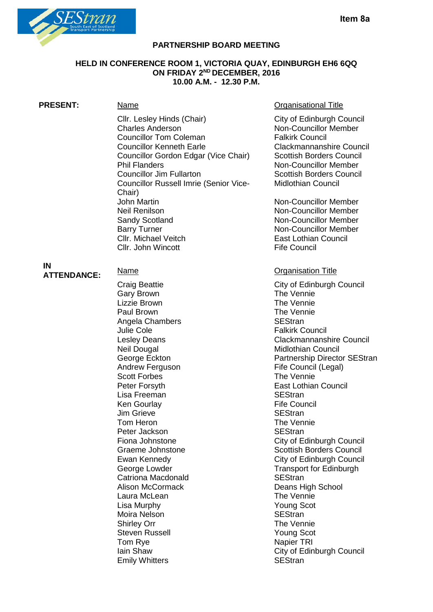

#### **PARTNERSHIP BOARD MEETING**

#### **HELD IN CONFERENCE ROOM 1, VICTORIA QUAY, EDINBURGH EH6 6QQ ON FRIDAY 2ND DECEMBER, 2016 10.00 A.M. - 12.30 P.M.**

Cllr. Lesley Hinds (Chair) City of Edinburgh Council<br>Charles Anderson Chair Non-Councillor Member Councillor Tom Coleman Falkirk Council<br>
Councillor Kenneth Earle<br>
Clackmannanshire Council Councillor Kenneth Earle **Councillor Councillor Council**<br>Councillor Gordon Edgar (Vice Chair) Scottish Borders Council Councillor Gordon Edgar (Vice Chair) Phil Flanders Non-Councillor Member Councillor Jim Fullarton Scottish Borders Council Councillor Russell Imrie (Senior Vice-Chair) John Martin Non-Councillor Member<br>
Non-Councillor Member<br>
Non-Councillor Member Sandy Scotland Non-Councillor Member Barry Turner Non-Councillor Member **Cllr. Michael Veitch East Lothian Council** Cllr. John Wincott **Fife Council** 

**PRESENT:** Name Name **Name Communism Communism** Communism Communism Organisational Title

Non-Councillor Member<br>Falkirk Council Midlothian Council

Non-Councillor Member

# **IN**

**ATTENDANCE:** Name Name Cristal Cristal Cristal Cristal Cristal Cristal Cristal Cristal Cristal Cristal Cristal Cristal Cristal Cristal Cristal Cristal Cristal Cristal Cristal Cristal Cristal Cristal Cristal Cristal Crista Gary Brown Lizzie Brown The Vennie Paul Brown The Vennie Angela Chambers SEStran Julie Cole **Falkirk Council**<br>
Lesley Deans **Falkirk Council** Neil Dougal Neil Dougal Council Council Council George Eckton Number 2012<br>
Council Council Council Council Council Partnership Director Andrew Ferguson **Fife Council (Legal)** Scott Forbes The Vennie Lisa Freeman Ken Gourlay **Fife Council**<br>
Um Grieve **Fife Council**<br>
SEStran Jim Grieve Tom Heron Tom Heron The Vennie<br>
Peter Jackson SEStran Peter Jackson Catriona Macdonald **SEStran** Alison McCormack Deans High School Laura McLean The Vennie<br>
Lisa Murphy The Vennie Lisa Murphy Moira Nelson **SEStran** Shirley Orr The Vennie Steven Russell **Young Scot** Tom Rye Napier TRI **Emily Whitters** 

City of Edinburgh Council<br>The Vennie Clackmannanshire Council Partnership Director SEStran Peter Forsyth East Lothian Council Fiona Johnstone **City of Edinburgh Council** Graeme Johnstone Scottish Borders Council Ewan Kennedy **City of Edinburgh Council** George Lowder Transport for Edinburgh Iain Shaw **Iain Shaw** City of Edinburgh Council<br>
Emily Whitters<br>
SEStran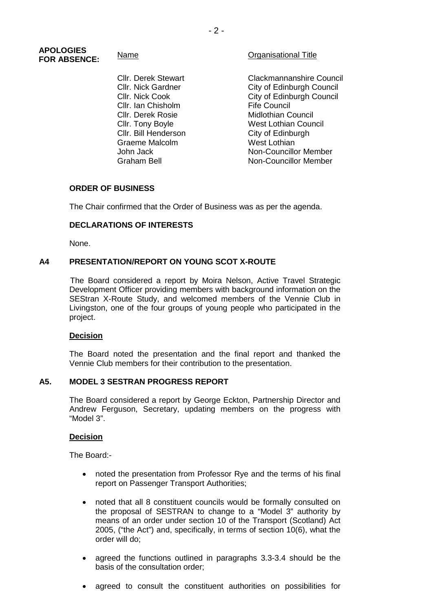#### **APOLOGIES FOR ABSENCE:** Name Name Critical Title

Cllr. Ian Chisholm Cllr. Derek Rosie Midlothian Council Cllr. Bill Henderson Graeme Malcolm<br>John Jack

Cllr. Derek Stewart Clackmannanshire Council<br>Cllr. Nick Gardner Clackmannanshire Council Cllr. Nick Gardner City of Edinburgh Council<br>Cllr. Nick Cook City of Edinburgh Council City of Edinburgh Council<br>Fife Council **Cllr. Tony Boyle West Lothian Council** City of Edinburgh West Lothian John Jack Non-Councillor Member<br>Graham Bell Graham Non-Councillor Member Non-Councillor Member

# **ORDER OF BUSINESS**

The Chair confirmed that the Order of Business was as per the agenda.

# **DECLARATIONS OF INTERESTS**

None.

# **A4 PRESENTATION/REPORT ON YOUNG SCOT X-ROUTE**

The Board considered a report by Moira Nelson, Active Travel Strategic Development Officer providing members with background information on the SEStran X-Route Study, and welcomed members of the Vennie Club in Livingston, one of the four groups of young people who participated in the project.

#### **Decision**

The Board noted the presentation and the final report and thanked the Vennie Club members for their contribution to the presentation.

#### **A5. MODEL 3 SESTRAN PROGRESS REPORT**

The Board considered a report by George Eckton, Partnership Director and Andrew Ferguson, Secretary, updating members on the progress with "Model 3".

#### **Decision**

The Board:-

- noted the presentation from Professor Rye and the terms of his final report on Passenger Transport Authorities;
- noted that all 8 constituent councils would be formally consulted on the proposal of SESTRAN to change to a "Model 3" authority by means of an order under section 10 of the Transport (Scotland) Act 2005, ("the Act") and, specifically, in terms of section 10(6), what the order will do;
- agreed the functions outlined in paragraphs 3.3-3.4 should be the basis of the consultation order;
- agreed to consult the constituent authorities on possibilities for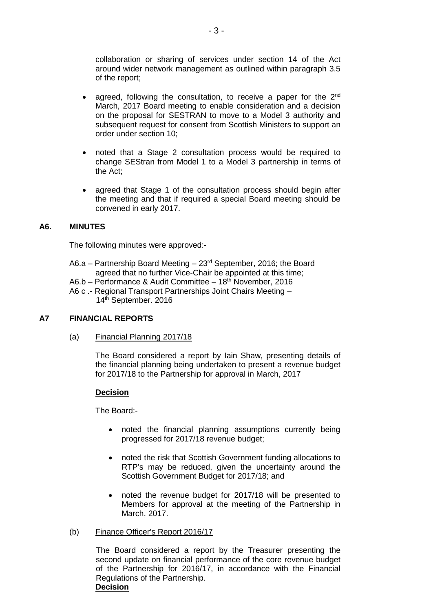collaboration or sharing of services under section 14 of the Act around wider network management as outlined within paragraph 3.5 of the report;

- agreed, following the consultation, to receive a paper for the  $2<sup>nd</sup>$ March, 2017 Board meeting to enable consideration and a decision on the proposal for SESTRAN to move to a Model 3 authority and subsequent request for consent from Scottish Ministers to support an order under section 10;
- noted that a Stage 2 consultation process would be required to change SEStran from Model 1 to a Model 3 partnership in terms of the Act;
- agreed that Stage 1 of the consultation process should begin after the meeting and that if required a special Board meeting should be convened in early 2017.

# **A6. MINUTES**

The following minutes were approved:-

- A6.a Partnership Board Meeting  $23<sup>rd</sup>$  September, 2016; the Board agreed that no further Vice-Chair be appointed at this time;
- A6.b Performance & Audit Committee 18<sup>th</sup> November, 2016
- A6 c .- Regional Transport Partnerships Joint Chairs Meeting 14th September. 2016

# **A7 FINANCIAL REPORTS**

(a) Financial Planning 2017/18

The Board considered a report by Iain Shaw, presenting details of the financial planning being undertaken to present a revenue budget for 2017/18 to the Partnership for approval in March, 2017

#### **Decision**

The Board:-

- noted the financial planning assumptions currently being progressed for 2017/18 revenue budget;
- noted the risk that Scottish Government funding allocations to RTP's may be reduced, given the uncertainty around the Scottish Government Budget for 2017/18; and
- noted the revenue budget for 2017/18 will be presented to Members for approval at the meeting of the Partnership in March, 2017.

#### (b) Finance Officer's Report 2016/17

The Board considered a report by the Treasurer presenting the second update on financial performance of the core revenue budget of the Partnership for 2016/17, in accordance with the Financial Regulations of the Partnership. **Decision**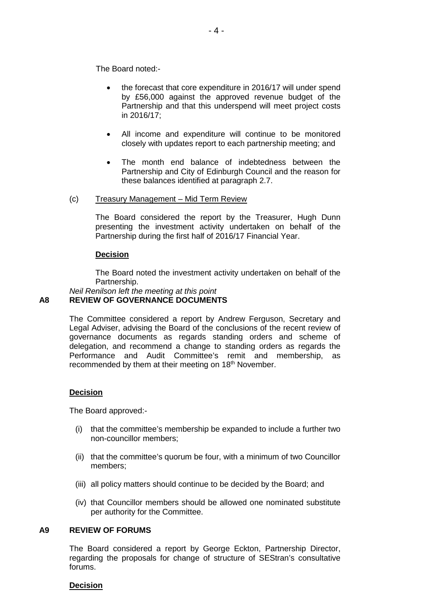The Board noted:-

- the forecast that core expenditure in 2016/17 will under spend by £56,000 against the approved revenue budget of the Partnership and that this underspend will meet project costs in 2016/17;
- All income and expenditure will continue to be monitored closely with updates report to each partnership meeting; and
- The month end balance of indebtedness between the Partnership and City of Edinburgh Council and the reason for these balances identified at paragraph 2.7.
- (c) Treasury Management Mid Term Review

The Board considered the report by the Treasurer, Hugh Dunn presenting the investment activity undertaken on behalf of the Partnership during the first half of 2016/17 Financial Year.

# **Decision**

The Board noted the investment activity undertaken on behalf of the Partnership.

#### *Neil Renilson left the meeting at this point* **A8 REVIEW OF GOVERNANCE DOCUMENTS**

The Committee considered a report by Andrew Ferguson, Secretary and Legal Adviser, advising the Board of the conclusions of the recent review of governance documents as regards standing orders and scheme of delegation, and recommend a change to standing orders as regards the Performance and Audit Committee's remit and membership, as recommended by them at their meeting on 18<sup>th</sup> November.

# **Decision**

The Board approved:-

- (i) that the committee's membership be expanded to include a further two non-councillor members;
- (ii) that the committee's quorum be four, with a minimum of two Councillor members;
- (iii) all policy matters should continue to be decided by the Board; and
- (iv) that Councillor members should be allowed one nominated substitute per authority for the Committee.

# **A9 REVIEW OF FORUMS**

The Board considered a report by George Eckton, Partnership Director, regarding the proposals for change of structure of SEStran's consultative forums.

#### **Decision**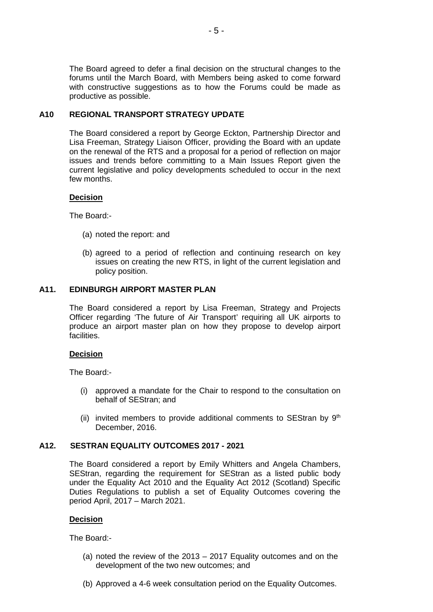The Board agreed to defer a final decision on the structural changes to the forums until the March Board, with Members being asked to come forward with constructive suggestions as to how the Forums could be made as productive as possible.

#### **A10 REGIONAL TRANSPORT STRATEGY UPDATE**

The Board considered a report by George Eckton, Partnership Director and Lisa Freeman, Strategy Liaison Officer, providing the Board with an update on the renewal of the RTS and a proposal for a period of reflection on major issues and trends before committing to a Main Issues Report given the current legislative and policy developments scheduled to occur in the next few months.

#### **Decision**

The Board:-

- (a) noted the report: and
- (b) agreed to a period of reflection and continuing research on key issues on creating the new RTS, in light of the current legislation and policy position.

#### **A11. EDINBURGH AIRPORT MASTER PLAN**

The Board considered a report by Lisa Freeman, Strategy and Projects Officer regarding 'The future of Air Transport' requiring all UK airports to produce an airport master plan on how they propose to develop airport facilities.

#### **Decision**

The Board:-

- (i) approved a mandate for the Chair to respond to the consultation on behalf of SEStran; and
- (ii) invited members to provide additional comments to SEStran by  $9<sup>th</sup>$ December, 2016.

# **A12. SESTRAN EQUALITY OUTCOMES 2017 - 2021**

The Board considered a report by Emily Whitters and Angela Chambers, SEStran, regarding the requirement for SEStran as a listed public body under the Equality Act 2010 and the Equality Act 2012 (Scotland) Specific Duties Regulations to publish a set of Equality Outcomes covering the period April, 2017 – March 2021.

# **Decision**

The Board:-

- (a) noted the review of the 2013 2017 Equality outcomes and on the development of the two new outcomes; and
- (b) Approved a 4-6 week consultation period on the Equality Outcomes.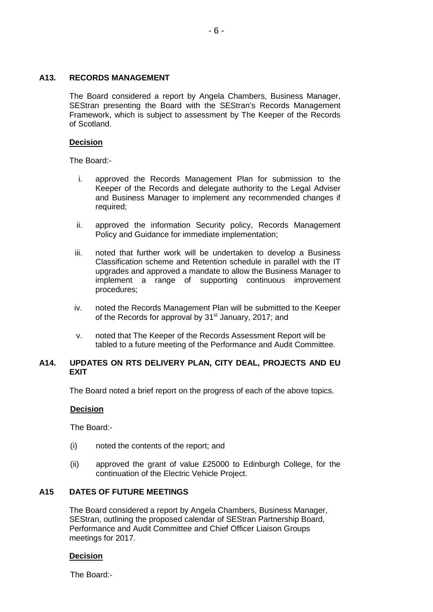# **A13. RECORDS MANAGEMENT**

The Board considered a report by Angela Chambers, Business Manager, SEStran presenting the Board with the SEStran's Records Management Framework, which is subject to assessment by The Keeper of the Records of Scotland.

# **Decision**

The Board:-

- i. approved the Records Management Plan for submission to the Keeper of the Records and delegate authority to the Legal Adviser and Business Manager to implement any recommended changes if required;
- ii. approved the information Security policy, Records Management Policy and Guidance for immediate implementation;
- iii. noted that further work will be undertaken to develop a Business Classification scheme and Retention schedule in parallel with the IT upgrades and approved a mandate to allow the Business Manager to implement a range of supporting continuous improvement procedures;
- iv. noted the Records Management Plan will be submitted to the Keeper of the Records for approval by 31<sup>st</sup> January, 2017; and
- v. noted that The Keeper of the Records Assessment Report will be tabled to a future meeting of the Performance and Audit Committee.

# **A14. UPDATES ON RTS DELIVERY PLAN, CITY DEAL, PROJECTS AND EU EXIT**

The Board noted a brief report on the progress of each of the above topics.

# **Decision**

The Board:-

- (i) noted the contents of the report; and
- (ii) approved the grant of value £25000 to Edinburgh College, for the continuation of the Electric Vehicle Project.

# **A15 DATES OF FUTURE MEETINGS**

The Board considered a report by Angela Chambers, Business Manager, SEStran, outlining the proposed calendar of SEStran Partnership Board, Performance and Audit Committee and Chief Officer Liaison Groups meetings for 2017.

# **Decision**

The Board:-